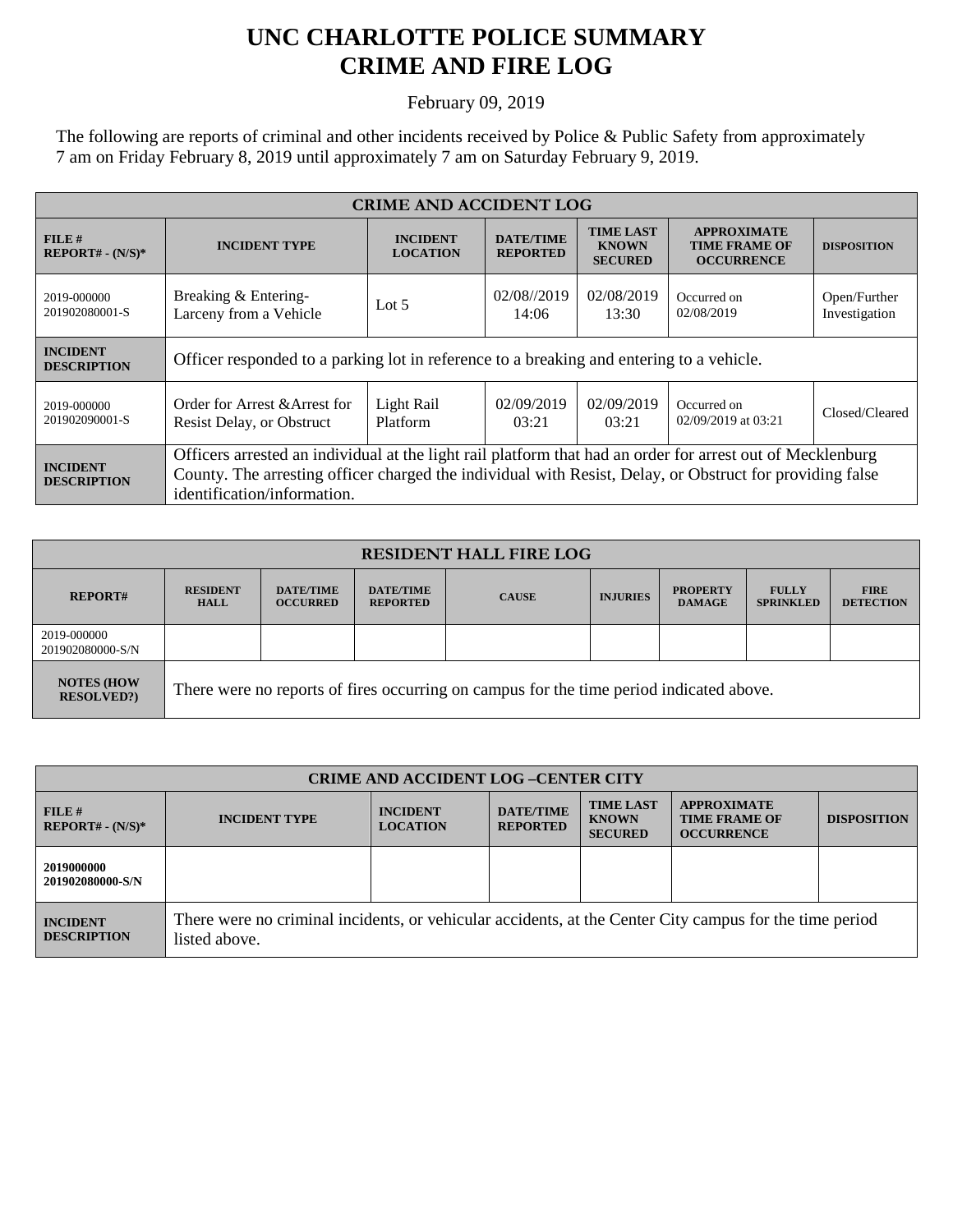## **UNC CHARLOTTE POLICE SUMMARY CRIME AND FIRE LOG**

February 09, 2019

The following are reports of criminal and other incidents received by Police & Public Safety from approximately 7 am on Friday February 8, 2019 until approximately 7 am on Saturday February 9, 2019.

| <b>CRIME AND ACCIDENT LOG</b>         |                                                                                                                                                                                                                                                       |                                    |                                     |                                                    |                                                                 |                               |  |
|---------------------------------------|-------------------------------------------------------------------------------------------------------------------------------------------------------------------------------------------------------------------------------------------------------|------------------------------------|-------------------------------------|----------------------------------------------------|-----------------------------------------------------------------|-------------------------------|--|
| FILE#<br>$REPORT# - (N/S)*$           | <b>INCIDENT TYPE</b>                                                                                                                                                                                                                                  | <b>INCIDENT</b><br><b>LOCATION</b> | <b>DATE/TIME</b><br><b>REPORTED</b> | <b>TIME LAST</b><br><b>KNOWN</b><br><b>SECURED</b> | <b>APPROXIMATE</b><br><b>TIME FRAME OF</b><br><b>OCCURRENCE</b> | <b>DISPOSITION</b>            |  |
| 2019-000000<br>201902080001-S         | Breaking & Entering-<br>Larceny from a Vehicle                                                                                                                                                                                                        | Lot $5$                            | 02/08//2019<br>14:06                | 02/08/2019<br>13:30                                | Occurred on<br>02/08/2019                                       | Open/Further<br>Investigation |  |
| <b>INCIDENT</b><br><b>DESCRIPTION</b> | Officer responded to a parking lot in reference to a breaking and entering to a vehicle.                                                                                                                                                              |                                    |                                     |                                                    |                                                                 |                               |  |
| 2019-000000<br>201902090001-S         | Order for Arrest & Arrest for<br><b>Resist Delay, or Obstruct</b>                                                                                                                                                                                     | Light Rail<br>Platform             | 02/09/2019<br>03:21                 | 02/09/2019<br>03:21                                | Occurred on<br>02/09/2019 at 03:21                              | Closed/Cleared                |  |
| <b>INCIDENT</b><br><b>DESCRIPTION</b> | Officers arrested an individual at the light rail platform that had an order for arrest out of Mecklenburg<br>County. The arresting officer charged the individual with Resist, Delay, or Obstruct for providing false<br>identification/information. |                                    |                                     |                                                    |                                                                 |                               |  |

| <b>RESIDENT HALL FIRE LOG</b>         |                                                                                         |                                     |                                     |              |                 |                                  |                                  |                                 |
|---------------------------------------|-----------------------------------------------------------------------------------------|-------------------------------------|-------------------------------------|--------------|-----------------|----------------------------------|----------------------------------|---------------------------------|
| <b>REPORT#</b>                        | <b>RESIDENT</b><br><b>HALL</b>                                                          | <b>DATE/TIME</b><br><b>OCCURRED</b> | <b>DATE/TIME</b><br><b>REPORTED</b> | <b>CAUSE</b> | <b>INJURIES</b> | <b>PROPERTY</b><br><b>DAMAGE</b> | <b>FULLY</b><br><b>SPRINKLED</b> | <b>FIRE</b><br><b>DETECTION</b> |
| 2019-000000<br>201902080000-S/N       |                                                                                         |                                     |                                     |              |                 |                                  |                                  |                                 |
| <b>NOTES (HOW</b><br><b>RESOLVED?</b> | There were no reports of fires occurring on campus for the time period indicated above. |                                     |                                     |              |                 |                                  |                                  |                                 |

| <b>CRIME AND ACCIDENT LOG-CENTER CITY</b> |                                                                                                                          |                                    |                                     |                                                    |                                                                 |                    |
|-------------------------------------------|--------------------------------------------------------------------------------------------------------------------------|------------------------------------|-------------------------------------|----------------------------------------------------|-----------------------------------------------------------------|--------------------|
| $FILE$ #<br>$REPORT# - (N/S)*$            | <b>INCIDENT TYPE</b>                                                                                                     | <b>INCIDENT</b><br><b>LOCATION</b> | <b>DATE/TIME</b><br><b>REPORTED</b> | <b>TIME LAST</b><br><b>KNOWN</b><br><b>SECURED</b> | <b>APPROXIMATE</b><br><b>TIME FRAME OF</b><br><b>OCCURRENCE</b> | <b>DISPOSITION</b> |
| 2019000000<br>201902080000-S/N            |                                                                                                                          |                                    |                                     |                                                    |                                                                 |                    |
| <b>INCIDENT</b><br><b>DESCRIPTION</b>     | There were no criminal incidents, or vehicular accidents, at the Center City campus for the time period<br>listed above. |                                    |                                     |                                                    |                                                                 |                    |